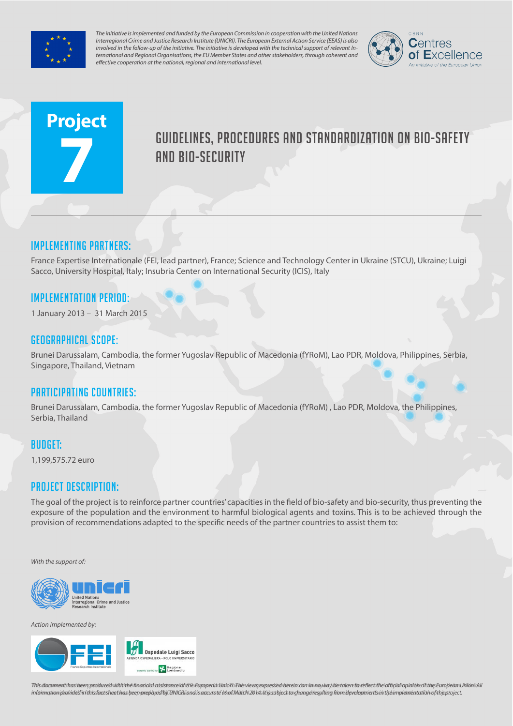

*The initiative is implemented and funded by the European Commission in cooperation with the United Nations Interregional Crime and Justice Research Institute (UNICRI). The European External Action Service (EEAS) is also involved in the follow-up of the initiative. The initiative is developed with the technical support of relevant International and Regional Organisations, the EU Member States and other stakeholders, through coherent and effective cooperation at the national, regional and international level.*



# **Project 7**

# Guidelines, procedures and standardization on bio-safety **AND BIO-SECURITY**

## Implementing partners:

France Expertise Internationale (FEI, lead partner), France; Science and Technology Center in Ukraine (STCU), Ukraine; Luigi Sacco, University Hospital, Italy; Insubria Center on International Security (ICIS), Italy

### Implementation Period:

1 January 2013 – 31 March 2015

#### Geographical scope:

Brunei Darussalam, Cambodia, the former Yugoslav Republic of Macedonia (fYRoM), Lao PDR, Moldova, Philippines, Serbia, Singapore, Thailand, Vietnam

#### Participating countries:

Brunei Darussalam, Cambodia, the former Yugoslav Republic of Macedonia (fYRoM) , Lao PDR, Moldova, the Philippines, Serbia, Thailand

#### Budget:

1,199,575.72 euro

#### Project Description:

The goal of the project is to reinforce partner countries' capacities in the field of bio-safety and bio-security, thus preventing the exposure of the population and the environment to harmful biological agents and toxins. This is to be achieved through the provision of recommendations adapted to the specific needs of the partner countries to assist them to:

*With the support of:*



*Action implemented by:*



This document has been produced with the financial assistance of the European Union. The views expressed herein camin no way be taken to reflect the infigial opinion of the European Union All information provided in this fact sheet has been prepared by UNIGRI and is adcurate as of March 2014. It is subject to change resulting from developments in the implementation of the project.